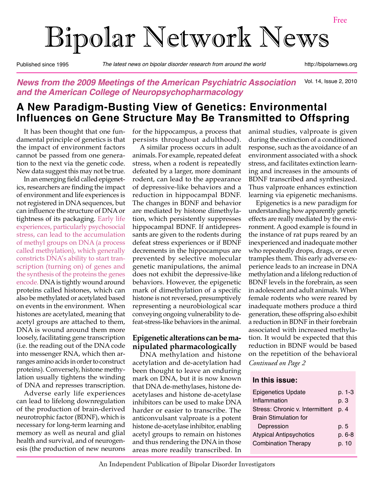# Bipolar Network News

Published since 1995 *The latest news on bipolar disorder research from around the world* http://bipolarnews.org

#### Vol. 14, Issue 2, 2010 *News from the 2009 Meetings of the American Psychiatric Association and the American College of Neuropsychopharmacology*

# **A New Paradigm-Busting View of Genetics: Environmental Influences on Gene Structure May Be Transmitted to Offspring**

It has been thought that one fundamental principle of genetics is that the impact of environment factors cannot be passed from one generation to the next via the genetic code. New data suggest this may not be true.

In an emerging field called epigenetics, researchers are finding the impact of environment and life experiences is not registered in DNA sequences, but can influence the structure of DNA or tightness of its packaging. Early life experiences, particularly psychosocial stress, can lead to the accumulation of methyl groups on DNA (a process called methylation), which generally constricts DNA's ability to start transcription (turning on) of genes and the synthesis of the proteins the genes encode. DNA is tightly wound around proteins called histones, which can also be methylated or acetylated based on events in the environment. When histones are acetylated, meaning that acetyl groups are attached to them, DNA is wound around them more loosely, facilitating gene transcription (i.e. the reading out of the DNA code into messenger RNA, which then arranges amino acids in order to construct proteins). Conversely, histone methylation usually tightens the winding of DNA and represses transcription.

Adverse early life experiences can lead to lifelong downregulation of the production of brain-derived neurotrophic factor (BDNF), which is necessary for long-term learning and memory as well as neural and glial health and survival, and of neurogenesis (the production of new neurons

for the hippocampus, a process that persists throughout adulthood).

A similar process occurs in adult animals. For example, repeated defeat stress, when a rodent is repeatedly defeated by a larger, more dominant rodent, can lead to the appearance of depressive-like behaviors and a reduction in hippocampal BDNF. The changes in BDNF and behavior are mediated by histone dimethylation, which persistently suppresses hippocampal BDNF. If antidepressants are given to the rodents during defeat stress experiences or if BDNF decrements in the hippocampus are prevented by selective molecular genetic manipulations, the animal does not exhibit the depressive-like behaviors. However, the epigenetic mark of dimethylation of a specific histone is not reversed, presumptively representing a neurobiological scar conveying ongoing vulnerability to defeat-stress-like behaviors in the animal.

#### **Epigenetic alterations can be manipulated pharmacologically**

DNA methylation and histone acetylation and de-acetylation had been thought to leave an enduring mark on DNA, but it is now known that DNA de-methylases, histone deacetylases and histone de-acetylase inhibitors can be used to make DNA harder or easier to transcribe. The anticonvulsant valproate is a potent histone de-acetylase inhibitor, enabling acetyl groups to remain on histones and thus rendering the DNA in those areas more readily transcribed. In animal studies, valproate is given during the extinction of a conditioned response, such as the avoidance of an environment associated with a shock stress, and facilitates extinction learning and increases in the amounts of BDNF transcribed and synthesized. Thus valproate enhances extinction learning via epigenetic mechanisms.

*Continued on Page 2* Epigenetics is a new paradigm for understanding how apparently genetic effects are really mediated by the environment. A good example is found in the instance of rat pups reared by an inexperienced and inadequate mother who repeatedly drops, drags, or even tramples them. This early adverse experience leads to an increase in DNA methylation and a lifelong reduction of BDNF levels in the forebrain, as seen in adolescent and adult animals. When female rodents who were reared by inadequate mothers produce a third generation, these offspring also exhibit a reduction in BDNF in their forebrain associated with increased methylation. It would be expected that this reduction in BDNF would be based on the repetition of the behavioral

#### **In this issue:**

| <b>Epigenetics Update</b>       | p. 1-3 |
|---------------------------------|--------|
| Inflammation                    | p. 3   |
| Stress: Chronic v. Intermittent | p. 4   |
| <b>Brain Stimulation for</b>    |        |
| Depression                      | p. 5   |
| <b>Atypical Antipsychotics</b>  | p. 6-8 |
| <b>Combination Therapy</b>      | p. 10  |
|                                 |        |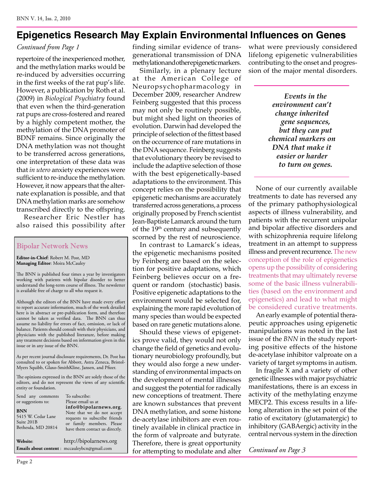## **Epigenetics Research May Explain Environmental Influences on Genes**

### *Continued from Page 1*

repertoire of the inexperienced mother, and the methylation marks would be re-induced by adversities occurring in the first weeks of the rat pup's life. However, a publication by Roth et al. (2009) in *Biological Psychiatry* found that even when the third-generation rat pups are cross-fostered and reared by a highly competent mother, the methylation of the DNA promoter of BDNF remains. Since originally the DNA methylation was not thought to be transferred across generations, one interpretation of these data was that *in utero* anxiety experiences were sufficient to re-induce the methylation. However, it now appears that the alternate explanation is possible, and that DNA methylation marks are somehow transcribed directly to the offspring.

Researcher Eric Nestler has also raised this possibility after

#### Bipolar Network News

**Editor-in-Chief**: Robert M. Post, MD **Managing Editor**: Moira McCauley

The BNN is published four times a year by investigators working with patients with bipolar disorder to better understand the long-term course of illness. The newsletter is available free of charge to all who request it.

Although the editors of the BNN have made every effort to report accurate information, much of the work detailed here is in abstract or pre-publication form, and therefore cannot be taken as verified data. The BNN can thus assume no liability for errors of fact, omission, or lack of balance. Patients should consult with their physicians, and physicians with the published literature, before making any treatment decisions based on information given in this issue or in any issue of the BNN.

As per recent journal disclosure requirements, Dr. Post has consulted to or spoken for Abbott, Astra Zeneca, Bristol-Myers Squibb, Glaxo-SmithKline, Jansen, and Pfizer.

The opinions expressed in the BNN are solely those of the editors, and do not represent the views of any scientific entity or foundation.

| Send any comments<br>or suggestions to:<br>BNN<br>5415 W. Cedar Lane<br>Suite 201B<br>Bethesda, MD 20814 | To subscribe:<br>Please email us at<br>info@bipolarnews.org.<br>Note that we do not accept<br>requests to subscribe friends<br>or family members. Please<br>have them contact us directly. |
|----------------------------------------------------------------------------------------------------------|--------------------------------------------------------------------------------------------------------------------------------------------------------------------------------------------|
| Website:                                                                                                 | http://bipolarnews.org                                                                                                                                                                     |
|                                                                                                          | Emails about content : mccauleybcn@gmail.com                                                                                                                                               |

finding similar evidence of transgenerational transmission of DNA methylation and other epigenetic markers.

Similarly, in a plenary lecture at the American College of Neuropsychopharmacology in December 2009, researcher Andrew Feinberg suggested that this process may not only be routinely possible, but might shed light on theories of evolution. Darwin had developed the principle of selection of the fittest based on the occurrence of rare mutations in the DNA sequence. Feinberg suggests that evolutionary theory be revised to include the adaptive selection of those with the best epigenetically-based adaptations to the environment. This concept relies on the possibility that epigenetic mechanisms are accurately transferred across generations, a process originally proposed by French scientist Jean-Baptiste Lamarck around the turn of the 19th century and subsequently scorned by the rest of neuroscience.

In contrast to Lamarck's ideas, the epigenetic mechanisms posited by Feinberg are based on the selection for positive adaptations, which Feinberg believes occur on a frequent or random (stochastic) basis. Positive epigenetic adaptations to the environment would be selected for, explaining the more rapid evolution of many species than would be expected based on rare genetic mutations alone.

Should these views of epigenetics prove valid, they would not only change the field of genetics and evolutionary neurobiology profoundly, but they would also forge a new understanding of environmental impacts on the development of mental illnesses and suggest the potential for radically new conceptions of treatment. There are known substances that prevent DNA methylation, and some histone de-acetylase inhibitors are even routinely available in clinical practice in the form of valproate and butyrate. Therefore, there is great opportunity for attempting to modulate and alter what were previously considered lifelong epigenetic vulnerabilities contributing to the onset and progression of the major mental disorders.

> *Events in the environment can't change inherited gene sequences, but they can put chemical markers on DNA that make it easier or harder to turn on genes.*

None of our currently available treatments to date has reversed any of the primary pathophysiological aspects of illness vulnerability, and patients with the recurrent unipolar and bipolar affective disorders and with schizophrenia require lifelong treatment in an attempt to suppress illness and prevent recurrence. The new conception of the role of epigenetics opens up the possibility of considering treatments that may ultimately reverse some of the basic illness vulnerabilities (based on the environment and epigenetics) and lead to what might be considered curative treatments.

An early example of potential therapeutic approaches using epigenetic manipulations was noted in the last issue of the *BNN* in the study reporting positive effects of the histone de-acetylase inhibitor valproate on a variety of target symptoms in autism.

In fragile X and a variety of other genetic illnesses with major psychiatric manifestations, there is an excess in activity of the methylating enzyme MECP2. This excess results in a lifelong alteration in the set point of the ratio of excitatory (glutamatergic) to inhibitory (GABAergic) activity in the central nervous system in the direction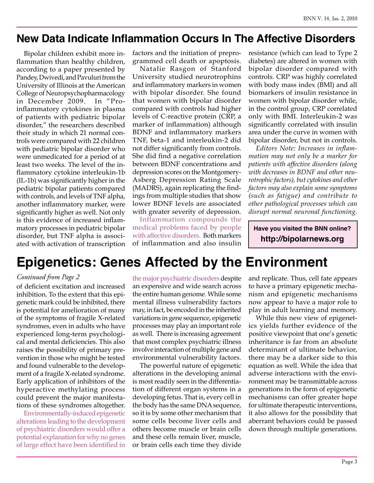# **New Data Indicate Inflammation Occurs In The Affective Disorders**

Bipolar children exhibit more inflammation than healthy children, according to a paper presented by Pandey, Dwivedi, and Pavuluri from the University of Illinois at the American College of Neuropsychopharmacology in December 2009. In "Proinflammatory cytokines in plasma of patients with pediatric bipolar disorder," the researchers described their study in which 21 normal controls were compared with 22 children with pediatric bipolar disorder who were unmedicated for a period of at least two weeks. The level of the inflammatory cytokine interleukin-1b (IL-1b) was significantly higher in the pediatric bipolar patients compared with controls, and levels of TNF alpha, another inflammatory marker, were significantly higher as well. Not only is this evidence of increased inflammatory processes in pediatric bipolar disorder, but TNF alpha is associated with activation of transcription

factors and the initiation of preprogrammed cell death or apoptosis.

Natalie Rasgon of Stanford University studied neurotrophins and inflammatory markers in women with bipolar disorder. She found that women with bipolar disorder compared with controls had higher levels of C-reactive protein (CRP, a marker of inflammation) although BDNF and inflammatory markers TNF, beta-1 and interleukin-2 did not differ significantly from controls. She did find a negative correlation between BDNF concentrations and depression scores on the Montgomery-Asberg Depression Rating Scale (MADRS), again replicating the findings from multiple studies that show lower BDNF levels are associated with greater severity of depression.

Inflammation compounds the medical problems faced by people with affective disorders. Both markers of inflammation and also insulin resistance (which can lead to Type 2 diabetes) are altered in women with bipolar disorder compared with controls. CRP was highly correlated with body mass index (BMI) and all biomarkers of insulin resistance in women with bipolar disorder while, in the control group, CRP correlated only with BMI. Interleukin-2 was significantly correlated with insulin area under the curve in women with bipolar disorder, but not in controls.

*Editors Note: Increases in inflammation may not only be a marker for patients with affective disorders (along with decreases in BDNF and other neurotrophic factors), but cytokines and other factors may also explain some symptoms (such as fatigue) and contribute to other pathological processes which can disrupt normal neuronal functioning.*

**Have you visited the BNN online? http://bipolarnews.org**

# **Epigenetics: Genes Affected by the Environment**

#### *Continued from Page 2*

of deficient excitation and increased inhibition. To the extent that this epigenetic mark could be inhibited, there is potential for amelioration of many of the symptoms of fragile X-related syndromes, even in adults who have experienced long-term psychological and mental deficiencies. This also raises the possibility of primary prevention in those who might be tested and found vulnerable to the development of a fragile X-related syndrome. Early application of inhibitors of the hyperactive methylating process could prevent the major manifestations of these syndromes altogether.

Environmentally-induced epigenetic alterations leading to the development of psychiatric disorders would offer a potential explanation for why no genes of large effect have been identified in

the major psychiatric disorders despite an expensive and wide search across the entire human genome. While some mental illness vulnerability factors may, in fact, be encoded in the inherited variations in gene sequence, epigenetic processes may play an important role as well. There is increasing agreement that most complex psychiatric illness involve interaction of multiple gene and environmental vulnerability factors.

The powerful nature of epigenetic alterations in the developing animal is most readily seen in the differentiation of different organ systems in a developing fetus. That is, every cell in the body has the same DNA sequence, so it is by some other mechanism that some cells become liver cells and others become muscle or brain cells and these cells remain liver, muscle, or brain cells each time they divide and replicate. Thus, cell fate appears to have a primary epigenetic mechanism and epigenetic mechanisms now appear to have a major role to play in adult learning and memory.

While this new view of epigenetics yields further evidence of the positive viewpoint that one's genetic inheritance is far from an absolute determinant of ultimate behavior, there may be a darker side to this equation as well. While the idea that adverse interactions with the environment may be transmittable across generations in the form of epigenetic mechanisms can offer greater hope for ultimate therapeutic interventions, it also allows for the possibility that aberrant behaviors could be passed down through multiple generations.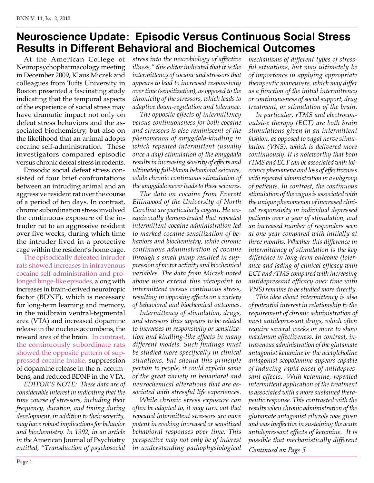# **Neuroscience Update: Episodic Versus Continuous Social Stress Results in Different Behavioral and Biochemical Outcomes**

At the American College of Neuropsychopharmacology meeting in December 2009, Klaus Miczek and colleagues from Tufts University in Boston presented a fascinating study indicating that the temporal aspects of the experience of social stress may have dramatic impact not only on defeat stress behaviors and the associated biochemistry, but also on the likelihood that an animal adopts cocaine self-administration. These investigators compared episodic versus chronic defeat stress in rodents.

Episodic social defeat stress consisted of four brief confrontations between an intruding animal and an aggressive resident rat over the course of a period of ten days. In contrast, chronic subordination stress involved the continuous exposure of the intruder rat to an aggressive resident over five weeks, during which time the intruder lived in a protective cage within the resident's home cage.

The episodically defeated intruder rats showed increases in intravenous cocaine self-administration and prolonged binge-like episodes, along with increases in brain-derived neurotropic factor (BDNF), which is necessary for long-term learning and memory, in the midbrain ventral-tegmental area (VTA) and increased dopamine release in the nucleus accumbens, the reward area of the brain. In contrast, the continuously subordinate rats showed the opposite pattern of suppressed cocaine intake, suppression of dopamine release in the n. accumbens, and reduced BDNF in the VTA.

*EDITOR'S NOTE: These data are of considerable interest in indicating that the time course of stressors, including their frequency, duration, and timing during development, in addition to their severity, may have robust implications for behavior and biochemistry. In 1992, in an article in the* American Journal of Psychiatry *entitled, "Transduction of psychosocial* 

*stress into the neurobiology of affective illness," this editor indicated that it is the intermittency of cocaine and stressors that appears to lead to increased responsivity over time (sensitization), as opposed to the chronicity of the stressors, which leads to adaptive down-regulation and tolerance.* 

*The opposite effects of intermittency versus continuousness for both cocaine and stressors is also reminiscent of the phenomenon of amygdala-kindling in which repeated intermittent (usually once a day) stimulation of the amygdala results in increasing severity of effects and ultimately full-blown behavioral seizures, while chronic continuous stimulation of the amygdala never leads to these seizures.*

*The data on cocaine from Everett Ellinwood of the University of North Carolina are particularly cogent. He unequivocally demonstrated that repeated intermittent cocaine administration led to marked cocaine sensitization of behaviors and biochemistry, while chronic continuous administration of cocaine through a small pump resulted in suppression of motor activity and biochemical variables. The data from Miczek noted above now extend this viewpoint to intermittent versus continuous stress, resulting in opposing effects on a variety of behavioral and biochemical outcomes.* 

*Intermittency of stimulation, drugs, and stressors thus appears to be related to increases in responsivity or sensitization and kindling-like effects in many different models. Such findings must be studied more specifically in clinical situations, but should this principle pertain to people, it could explain some of the great variety in behavioral and neurochemical alterations that are associated with stressful life experiences.* 

*While chronic stress exposure can often be adapted to, it may turn out that repeated intermittent stressors are more potent in evoking increased or sensitized behavioral responses over time. This perspective may not only be of interest in understanding pathophysiological* 

*mechanisms of different types of stressful situations, but may ultimately be of importance in applying appropriate therapeutic maneuvers, which may differ as a function of the initial intermittency or continuousness of social support, drug treatment, or stimulation of the brain.* 

*In particular, rTMS and electroconvulsive therapy (ECT) are both brain stimulations given in an intermittent fashion, as opposed to vagal nerve stimulation (VNS), which is delivered more continuously. It is noteworthy that both rTMS and ECT can be associated with tolerance phenomena and loss of effectiveness with repeated administration in a subgroup of patients. In contrast, the continuous stimulation of the vagus is associated with the unique phenomenon of increased clinical responsivity in individual depressed patients over a year of stimulation, and an increased number of responders seen at one year compared with initially at three months. Whether this difference in intermittency of stimulation is the key difference in long-term outcome (tolerance and fading of clinical efficacy with ECT and rTMS compared with increasing antidepressant efficacy over time with VNS) remains to be studied more directly.*

*Continued on Page 5 This idea about intermittency is also of potential interest in relationship to the requirement of chronic administration of most antidepressant drugs, which often require several weeks or more to show maximum effectiveness. In contrast, intravenous administration of the glutamate antagonist ketamine or the acetylcholine antagonist scopolamine appears capable of inducing rapid onset of antidepressant effects. With ketamine, repeated intermittent application of the treatment is associated with a more sustained therapeutic response. This contrasted with the results when chronic administration of the glutamate antagonist riluzole was given and was ineffective in sustaining the acute antidepressant effects of ketamine. It is possible that mechanistically different*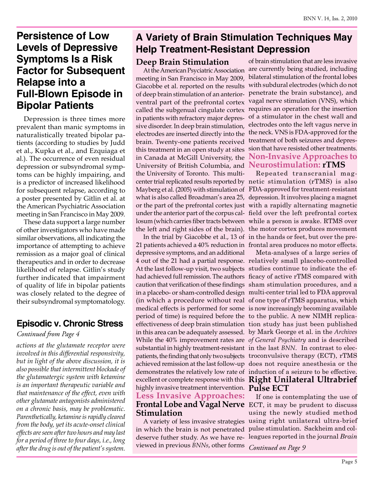# **Persistence of Low Levels of Depressive Symptoms Is a Risk Factor for Subsequent Relapse into a Full-Blown Episode in Bipolar Patients**

Depression is three times more prevalent than manic symptoms in naturalistically treated bipolar patients (according to studies by Judd et al., Kupka et al., and Ezquiaga et al.). The occurrence of even residual depression or subsyndromal symptoms can be highly impairing, and is a predictor of increased likelihood for subsequent relapse, according to a poster presented by Gitlin et al. at the American Psychiatric Association meeting in San Francisco in May 2009.

These data support a large number of other investigators who have made similar observations, all indicating the importance of attempting to achieve remission as a major goal of clinical therapeutics and in order to decrease likelihood of relapse. Gitlin's study further indicated that impairment of quality of life in bipolar patients was closely related to the degree of their subsyndromal symptomatology.

## **Episodic v. Chronic Stress**

## *Continued from Page 4*

*actions at the glutamate receptor were involved in this differential responsivity, but in light of the above discussion, it is also possible that intermittent blockade of the glutamatergic system with ketamine is an important therapeutic variable and that maintenance of the effect, even with other glutamate antagonists administered on a chronic basis, may be problematic. Parenthetically, ketamine is rapidly cleared from the body, yet its acute-onset clinical effects are seen after two hours and may last for a period of three to four days, i.e., long after the drug is out of the patient's system.*

# **A Variety of Brain Stimulation Techniques May Help Treatment-Resistant Depression**

## **Deep Brain Stimulation**

At the American Psyciatric Association meeting in San Francisco in May 2009, Giacobbe et al. reported on the results of deep brain stimulation of an anteriorventral part of the prefrontal cortex called the subgenual cingulate cortex in patients with refractory major depressive disorder. In deep brain stimulation, electrodes are inserted directly into the brain. Twenty-one patients received this treatment in an open study at sites in Canada at McGill University, the University of British Columbia, and **Neurostimulation: rTMS** the University of Toronto. This multi-

depressive symptoms, and an additional At the last follow-up visit, two subjects studies continue to indicate the efperiod of time) is required before the to the public. A new NIMH replicasubstantial in highly treatment-resistant in the last *BNN*. In contrast to elecdemonstrates the relatively low rate of induction of a seizure to be effective. highly invasive treatment intervention. **Pulse ECT Less Invasive Approaches: Stimulation**

in which the brain is not penetrated deserve futher study. As we have reviewed in previous *BNNs*, other forms

of brain stimulation that are less invasive are currently being studied, including bilateral stimulation of the frontal lobes with subdural electrodes (which do not penetrate the brain substance), and vagal nerve stimulation (VNS), which requires an operation for the insertion of a stimulator in the chest wall and electrodes onto the left vagus nerve in the neck. VNS is FDA-approved for the treatment of both seizures and depression that have resisted other treatments. **Non-Invasive Approaches to** 

center trial replicated results reported by netic stimulation (rTMS) is also Mayberg et al. (2005) with stimulation of FDA-approved for treatment-resistant what is also called Broadman's area 25, depression. It involves placing a magnet or the part of the prefrontal cortex just with a rapidly alternating magnetic under the anterior part of the corpus cal-field over the left prefrontal cortex losum (which carries fiber tracts between while a person is awake. RTMS over the left and right sides of the brain). the motor cortex produces movement In the trial by Giacobbe et al., 13 of in the hands or feet, but over the pre-21 patients achieved a 40% reduction in frontal area produces no motor effects. Repeated transcranial mag-

4 out of the 21 had a partial response. relatively small placebo-controlled had achieved full remission. The authors ficacy of active rTMS compared with caution that verification of these findings sham stimulation procedures, and a in a placebo- or sham-controlled design multi-center trial led to FDA approval (in which a procedure without real of one type of rTMS apparatus, which medical effects is performed for some is now increasingly becoming available effectiveness of deep brain stimulation tion study has just been published in this area can be adequately assessed. by Mark George et al. in the *Archives*  While the 40% improvement rates are *of General Psychiatry* and is described patients, the finding that only two subjects troconvulsive therapy (ECT), rTMS achieved remission at the last follow-up does not require anesthesia or the excellent or complete response with this **Right Unilateral Ultrabrief**  Meta-analyses of a large series of

**Frontal Lobe and Vagal Nerve**  ECT, it may be prudent to discuss A variety of less invasive strategies using right unilateral ultra-brief If one is contemplating the use of using the newly studied method pulse stimulation. Sackheim and colleagues reported in the journal *Brain*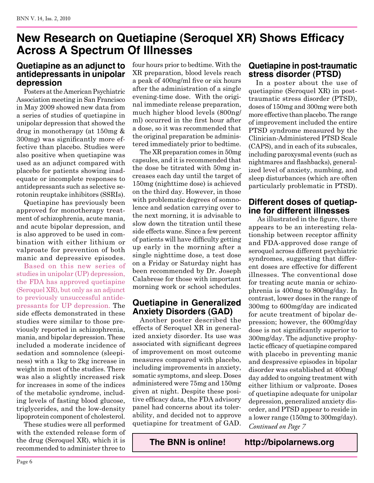# **New Research on Quetiapine (Seroquel XR) Shows Efficacy Across A Spectrum Of Illnesses**

## **Quetiapine as an adjunct to antidepressants in unipolar depression**

Posters at the American Psychiatric Association meeting in San Francisco in May 2009 showed new data from a series of studies of quetiapine in unipolar depression that showed the drug in monotherapy (at 150mg & 300mg) was significantly more effective than placebo. Studies were also positive when quetiapine was used as an adjunct compared with placebo for patients showing inadequate or incomplete responses to antidepressants such as selective serotonin reuptake inhibitors (SSRIs).

Quetiapine has previously been approved for monotherapy treatment of schizophrenia, acute mania, and acute bipolar depression, and is also approved to be used in combination with either lithium or valproate for prevention of both manic and depressive episodes.

Based on this new series of studies in unipolar (UP) depression, the FDA has approved quetiapine (Seroquel XR), but only as an adjunct to previously unsuccessful antidepressants for UP depression. The side effects demonstrated in these studies were similar to those previously reported in schizophrenia, mania, and bipolar depression. These included a moderate incidence of sedation and somnolence (sleepiness) with a 1kg to 2kg increase in weight in most of the studies. There was also a slightly increased risk for increases in some of the indices of the metabolic syndrome, including levels of fasting blood glucose, triglycerides, and the low-density lipoprotein component of cholesterol.

These studies were all performed with the extended release form of the drug (Seroquel XR), which it is recommended to administer three to

four hours prior to bedtime. With the XR preparation, blood levels reach a peak of 400ng/ml five or six hours after the administration of a single evening-time dose. With the original immediate release preparation, much higher blood levels (800ng/ ml) occurred in the first hour after a dose, so it was recommended that the original preparation be administered immediately prior to bedtime.

The XR preparation comes in 50mg capsules, and it is recommended that the dose be titrated with 50mg increases each day until the target of 150mg (nighttime dose) is achieved on the third day. However, in those with problematic degrees of somnolence and sedation carrying over to the next morning, it is advisable to slow down the titration until these side effects wane. Since a few percent of patients will have difficulty getting up early in the morning after a single nighttime dose, a test dose on a Friday or Saturday night has been recommended by Dr. Joseph Calabrese for those with important morning work or school schedules.

## **Quetiapine in Generalized Anxiety Disorders (GAD)**

Another poster described the effects of Seroquel XR in generalized anxiety disorder. Its use was associated with significant degrees of improvement on most outcome measures compared with placebo, including improvements in anxiety, somatic symptoms, and sleep. Doses administered were 75mg and 150mg given at night. Despite these positive efficacy data, the FDA advisory panel had concerns about its tolerability, and decided not to approve quetiapine for treatment of GAD. **Quetiapine in post-traumatic stress disorder (PTSD)**

In a poster about the use of quetiapine (Seroquel XR) in posttraumatic stress disorder (PTSD), doses of 150mg and 300mg were both more effective than placebo. The range of improvement included the entire PTSD syndrome measured by the Clinician-Administered PTSD Scale (CAPS), and in each of its subscales, including paroxysmal events (such as nightmares and flashbacks), generalized level of anxiety, numbing, and sleep disturbances (which are often particularly problematic in PTSD).

## **Different doses of quetiapine for different illnesses**

*Continued on Page 7* As illustrated in the figure, there appears to be an interesting relationship between receptor affinity and FDA-approved dose range of seroquel across different psychiatric syndromes, suggesting that different doses are effective for different illnesses. The conventional dose for treating acute mania or schizophrenia is 400mg to 800mg/day. In contrast, lower doses in the range of 300mg to 600mg/day are indicated for acute treatment of bipolar depression; however, the 600mg/day dose is not significantly superior to 300mg/day. The adjunctive prophylactic efficacy of quetiapine compared with placebo in preventing manic and despressive episodes in bipolar disorder was established at 400mg/ day added to ongoing treatment with either lithium or valproate. Doses of quetiapine adequate for unipolar depression, generalized anxiety disorder, and PTSD appear to reside in a lower range (150mg to 300mg/day).

**The BNN is online! http://bipolarnews.org**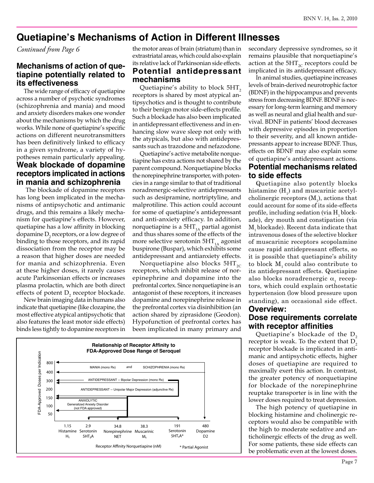## **Quetiapine's Mechanisms of Action in Different Illnesses**

*Continued from Page 6*

## **Mechanisms of action of quetiapine potentially related to its effectiveness**

The wide range of efficacy of quetiapine across a number of psychotic syndromes (schizophrenia and mania) and mood and anxiety disorders makes one wonder about the mechanisms by which the drug works. While none of quetiapine's specific actions on different neurotransmitters has been definitively linked to efficacy in a given syndrome, a variety of hypotheses remain particularly appealing. **Weak blockade of dopamine receptors implicated in actions in mania and schizophrenia**

 The blockade of dopamine receptors has long been implicated in the mechanisms of antipsychotic and antimanic drugs, and this remains a likely mechanism for quetiapine's effects. However, quetiapine has a low affinity in blocking dopamine  $D_2$  receptors, or a low degree of binding to those receptors, and its rapid dissociation from the receptor may be a reason that higher doses are needed for mania and schizophrenia. Even at these higher doses, it rarely causes acute Parkinsonian effects or increases plasma prolactin, which are both direct effects of potent  $D_2$  receptor blockade.

New brain imaging data in humans also indicate that quetiapine (like clozapine, the most effective atypical antipsychotic that also features the least motor side effects) binds less tightly to dopamine receptors in the motor areas of brain (striatum) than in extrastriatal areas, which could also explain its relative lack of Parkinsonian side effects. **Potential antidepressant** 

# **mechanisms**

Quetiapine's ability to block  $5HT<sub>2</sub>$ receptors is shared by most atypical antipsychotics and is thought to contribute to their benign motor side-effects profile. Such a blockade has also been implicated in antidepressant effectiveness and in enhancing slow wave sleep not only with the atypicals, but also with antidepressants such as trazodone and nefazodone.

Quetiapine's active metabolite norquetiapine has extra actions not shared by the parent compound. Norquetiapine blocks the norepinephrine transporter, with potencies in a range similar to that of traditional noradrenergic-selective antidepressants such as desipramine, nortriptyline, and malprotiline. This action could account for some of quetiapine's antidepressant and anti-anxiety efficacy. In addition, norquetiapine is a  $5HT_{1A}$  partial agonist and thus shares some of the effects of the more selective serotonin  $5HT_{1A}$  agonist buspirone (Buspar), which exhibits some antidepressant and antianxiety effects.

Norquetiapine also blocks  $5HT_{2C}$ receptors, which inhibit release of norepinephrine and dopamine into the prefrontal cortex. Since norquetiapine is an antagonist of these receptors, it increases dopamine and norepinephrine release in the prefrontal cortex via disinhibition (an action shared by ziprasidone (Geodon). Hypofunction of prefrontal cortex has been implicated in many primary and



secondary depressive syndromes, so it remains plausible that norquetiapine's action at the  $5HT_{2C}$  receptors could be implicated in its antidepressant efficacy.

In animal studies, quetiapine increases levels of brain-derived neurotrophic factor (BDNF) in the hippocampus and prevents stress from decreasing BDNF. BDNF is necessary for long-term learning and memory as well as neural and glial health and survival. BDNF in patients' blood decreases with depressive episodes in proportion to their severity, and all known antidepressants appear to increase BDNF. Thus, effects on BDNF may also explain some of quetiapine's antidepressant actions. **Potential mechanisms related to side effects**

Quetiapine also potently blocks histamine  $(H_1)$  and muscarinic acetylcholinergic receptors  $(M_1)$ , actions that could account for some of its side-effects profile, including sedation (via  $H<sub>1</sub>$  blockade), dry mouth and constipation (via M<sub>1</sub> blockade). Recent data indicate that intravenous doses of the selective blocker of muscarinic receptors scopolamine cause rapid antidepressant effects, so it is possible that quetiapine's ability to block  $M$ , could also contribute to its antidepressant effects. Quetiapine also blocks noradrenergic  $\alpha_1$  receptors, which could explain orthostatic hypertension (low blood pressure upon standing), an occasional side effect. **Overview:** 

## **Dose requirements correlate with receptor affinities**

Quetiapine's blockade of the  $D<sub>2</sub>$ receptor is weak. To the extent that  $D<sub>2</sub>$ receptor blockade is implicated in antimanic and antipsychotic effects, higher doses of quetiapine are required to maximally exert this action. In contrast, the greater potency of norquetiapine for blockade of the norepinephrine reuptake transporter is in line with the lower doses required to treat depression.

The high potency of quetiapine in blocking histamine and cholinergic receptors would also be compatible with the high to moderate sedative and anticholinergic effects of the drug as well. For some patients, these side effects can be problematic even at the lowest doses.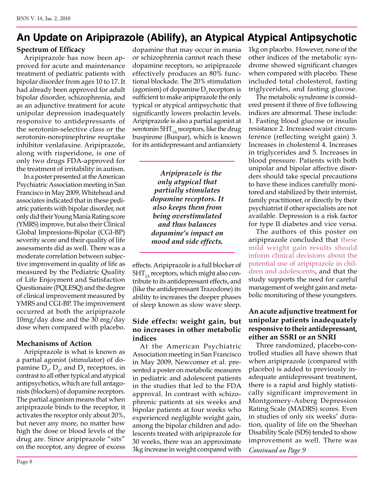# **An Update on Aripiprazole (Abilify), an Atypical Atypical Antipsychotic**

#### **Spectrum of Efficacy**

Aripiprazole has now been approved for acute and maintenance treatment of pediatric patients with bipolar disorder from ages 10 to 17. It had already been approved for adult bipolar disorder, schizophrenia, and as an adjunctive treatment for acute unipolar depression inadequately responsive to antidepressants of the serotonin-selective class or the serotonin-norepinephrine reuptake inhibitor venlafaxine. Aripiprazole, along with risperidone, is one of only two drugs FDA-approved for the treatment of irritability in autism.

In a poster presented at the American Psychiatric Association meeting in San Francisco in May 2009, Whitehead and associates indicated that in these pediatric patients with bipolar disorder, not only did their Young Mania Rating score (YMRS) improve, but also their Clinical Global Impresions-Bipolar (CGI-BP) severity score and their quality of life assessments did as well. There was a moderate correlation between subjective improvement in quality of life as measured by the Pediatric Quality of Life Enjoyment and Satisfaction Questionaire (PQLESQ) and the degree of clinical improvement measured by YMRS and CGI-BP. The improvement occurred at both the aripiprazole 10mg/day dose and the 30 mg/day dose when compared with placebo.

## **Mechanisms of Action**

Aripiprazole is what is known as a partial agonist (stimulator) of dopamine  $D_{1}$ ,  $D_{2}$ , and  $D_{3}$  receptors, in contrast to all other typical and atypical antipsychotics, which are full antagonists (blockers) of dopamine receptors. The partial agonism means that when aripiprazole binds to the receptor, it activates the receptor only about 20%, but never any more, no matter how high the dose or blood levels of the drug are. Since aripiprazole "sits" on the receptor, any degree of excess

dopamine that may occur in mania or schizophrenia cannot reach these dopamine receptors, so aripiprazole effectively produces an 80% functional blockade. The 20% stimulation (agonism) of dopamine  $D<sub>2</sub>$  receptors is sufficient to make aripiprazole the only typical or atypical antipsychotic that significantly lowers prolactin levels. Aripiprazole is also a partial agonist at serotonin 5 $HT_{1A}$  receptors, like the drug buspirone (Buspar), which is known for its antidepressant and antianxiety

> *Aripiprazole is the only atypical that partially stimulates dopamine receptors. It also keeps them from being overstimulated and thus balances dopamine's impact on mood and side effects.*

effects. Aripiprazole is a full blocker of  $5HT_{2A}$  receptors, which might also contribute to its antidepressant effects, and (like the antidepressant Trazodone) its ability to increases the deeper phases of sleep known as slow wave sleep.

### **Side effects: weight gain, but no increases in other metabolic indices**

At the American Psychiatric Association meeting in San Francisco in May 2009, Newcomer et al. presented a poster on metabolic measures in pediatric and adolescent patients in the studies that led to the FDA approval. In contrast with schizophrenic patients at six weeks and bipolar patients at four weeks who experienced negligible weight gain, among the bipolar children and adolescents treated with aripiprazole for 30 weeks, there was an approximate 3kg increase in weight compared with

1kg on placebo. However, none of the other indices of the metabolic syndrome showed significant changes when compared with placebo. These included total cholesterol, fasting triglycerides, and fasting glucose.

The metabolic syndrome is considered present if three of five following indices are abnormal. These include: 1. Fasting blood glucose or insulin resistance 2. Increased waist circumference (reflecting weight gain) 3. Increases in cholesterol 4. Increases in triglycerides and 5. Increases in blood pressure. Patients with both unipolar and bipolar affective disorders should take special precautions to have these indices carefully monitored and stabilized by their internist, family practitioner, or directly by their psychiatrist if other specialists are not available. Depression is a risk factor for type II diabetes and vice versa.

The authors of this poster on aripiprazole concluded that these mild weight gain results should inform clinical decisions about the potential use of aripiprazole in children and adolescents, and that the study supports the need for careful management of weight gain and metabolic monitoring of these youngsters.

## **An acute adjunctive treatment for unipolar patients inadequately responsive to their antidepressant, either an SSRI or an SNRI**

Three randomized, placebo-controlled studies all have shown that when aripiprazole (compared with placebo) is added to previously inadequate antidepressant treatment, there is a rapid and highly statistically significant improvement in Montgomery-Asberg Depression Rating Scale (MADRS) scores. Even in studies of only six weeks' duration, quality of life on the Sheehan Disability Scale (SDS) tended to show improvement as well. There was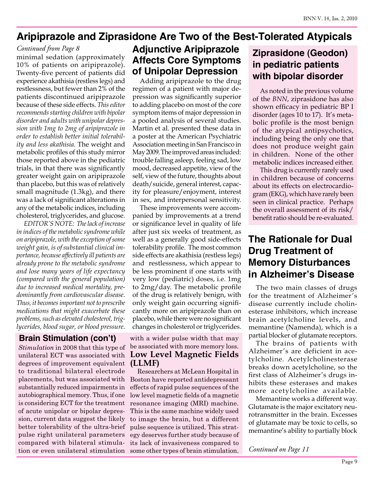## **Aripiprazole and Ziprasidone Are Two of the Best-Tolerated Atypicals**

### *Continued from Page 8*

minimal sedation (approximately 10% of patients on aripiprazole). Twenty-five percent of patients did experience akathisia (restless legs) and restlessness, but fewer than 2% of the patients discontinued aripiprazole because of these side effects. *This editor recommends starting children with bipolar disorder and adults with unipolar depression with 1mg to 2mg of aripiprazole in order to establish better initial tolerability and less akathisia.* The weight and metabolic profiles of this study mirror those reported above in the pediatric trials, in that there was significantly greater weight gain on aripiprazole than placebo, but this was of relatively small magnitude (1.3kg), and there was a lack of significant alterations in any of the metabolic indices, including cholesterol, triglycerides, and glucose.

*EDITOR'S NOTE: The lack of increase in indices of the metabolic syndrome while on aripiprazole, with the exception of some weight gain, is of substantial clinical importance, because affectively ill patients are already prone to the metabolic syndrome and lose many years of life expectancy (compared with the general population) due to increased medical mortality, predominantly from cardiovascular disease. Thus, it becomes important not to prescribe medications that might exacerbate these problems, such as elevated cholesterol, triglycerides, blood sugar, or blood pressure.*

## **Brain Stimulation (con't)**

*Stimulation* in 2008 that this type of unilateral ECT was associated with degrees of improvement equivalent to traditional bilateral electrode placements, but was associated with substantially reduced impairments in autobiographical memory. Thus, if one is considering ECT for the treatment of acute unipolar or bipolar depression, current data suggest the likely better tolerability of the ultra-brief pulse right unilateral parameters compared with bilateral stimulation or even unilateral stimulation

# **Adjunctive Aripiprazole Affects Core Symptoms of Unipolar Depression**

Adding aripiprazole to the drug regimen of a patient with major depression was significantly superior to adding placebo on most of the core symptom items of major depression in a pooled analysis of several studies. Martin et al. presented these data in a poster at the American Psychiatric Association meeting in San Francisco in May 2009. The improved areas included: trouble falling asleep, feeling sad, low mood, decreased appetite, view of the self, view of the future, thoughts about death/suicide, general interest, capacity for pleasure/enjoyment, interest in sex, and interpersonal sensitivity.

These improvements were accompanied by improvements at a trend or significance level in quality of life after just six weeks of treatment, as well as a generally good side-effects tolerability profile. The most common side effects are akathisia (restless legs) and restlessness, which appear to be less prominent if one starts with very low (pediatric) doses, i.e. 1mg to 2mg/day. The metabolic profile of the drug is relatively benign, with only weight gain occurring significantly more on aripiprazole than on placebo, while there were no significant changes in cholesterol or triglycerides.

#### with a wider pulse width that may be associated with more memory loss. **Low Level Magnetic Fields (LLMF)**

Researchers at McLean Hospital in Boston have reported antidepressant effects of rapid pulse sequences of the low level magnetic fields of a magnetic resonance imaging (MRI) machine. This is the same machine widely used to image the brain, but a different pulse sequence is utilized. This strategy deserves further study because of its lack of invasiveness compared to some other types of brain stimulation.

# **Ziprasidone (Geodon) in pediatric patients with bipolar disorder**

As noted in the previous volume of the *BNN*, ziprasidone has also shown efficacy in pediatric BP I disorder (ages 10 to 17). It's metabolic profile is the most benign of the atypical antipsychotics, including being the only one that does not produce weight gain in children. None of the other metabolic indices increased either.

This drug is currently rarely used in children because of concerns about its effects on electrocardiogram (EKG), which have rarely been seen in clinical practice. Perhaps the overall assessment of its risk/ benefit ratio should be re-evaluated.

# **The Rationale for Dual Drug Treatment of Memory Disturbances in Alzheimer's Disease**

The two main classes of drugs for the treatment of Alzheimer's disease currently include cholinesterase inhibitors, which increase brain acetylcholine levels, and memantine (Namenda), which is a partial blocker of glutamate receptors.

The brains of patients with Alzheimer's are deficient in acetylcholine. Acetylcholinesterase breaks down acetylcholine, so the first class of Alzheimer's drugs inhibits these esterases and makes more acetylcholine available.

Memantine works a different way. Glutamate is the major excitatory neurotransmitter in the brain. Excesses of glutamate may be toxic to cells, so memantine's ability to partially block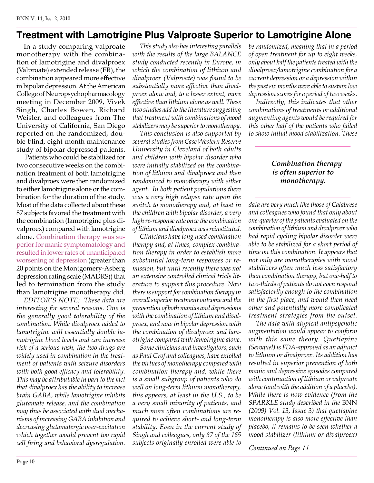## **Treatment with Lamotrigine Plus Valproate Superior to Lamotrigine Alone**

In a study comparing valproate monotherapy with the combination of lamotrigine and divalproex (Valproate) extended release (ER), the combination appeared more effective in bipolar depression. At the American College of Neuropsychopharmacology meeting in December 2009, Vivek Singh, Charles Bowen, Richard Weisler, and colleagues from The University of California, San Diego reported on the randomized, double-blind, eight-month maintenance study of bipolar depressed patients.

 Patients who could be stabilized for two consecutive weeks on the combination treatment of both lamotrigine and divalproex were then randomized to either lamotrigine alone or the combination for the duration of the study. Most of the data collected about these 87 subjects favored the treatment with the combination (lamotrigine plus divalproex) compared with lamotrigine alone. Combination therapy was superior for manic symptomatology and resulted in lower rates of unanticipated worsening of depression (greater than 20 points on the Montgomery-Asberg depression rating scale (MADRS)) that led to termination from the study than lamotrigine monotherapy did.

*EDITOR'S NOTE: These data are interesting for several reasons. One is the generally good tolerability of the combination. While divalproex added to lamotrigine will essentially double lamotrigine blood levels and can increase risk of a serious rash, the two drugs are widely used in combination in the treatment of patients with seizure disorders with both good efficacy and tolerability. This may be attributable in part to the fact that divalproex has the ability to increase brain GABA, while lamotrigine inhibits glutamate release, and the combination may thus be associated with dual mechanisms of increasing GABA inhibition and decreasing glutamatergic over-excitation which together would prevent too rapid cell firing and behavioral dysregulation.*

*This study also has interesting parallels with the results of the large BALANCE study conducted recently in Europe, in which the combination of lithium and divalproex (Valproate) was found to be substantially more effective than divalproex alone and, to a lesser extent, more effective than lithium alone as well. These two studies add to the literature suggesting that treatment with combinations of mood stabilizers may be superior to monotherapy.* 

*This conclusion is also supported by several studies from Case Western Reserve University in Cleveland of both adults and children with bipolar disorder who were initially stabilized on the combination of lithium and divalproex and then randomized to monotherapy with either agent. In both patient populations there was a very high relapse rate upon the switch to monotherapy and, at least in the children with bipolar disorder, a very high re-response rate once the combination of lithium and divalproex was reinstituted.* 

*Clinicians have long used combination therapy and, at times, complex combination therapy in order to establish more substantial long-term responses or remission, but until recently there was not an extensive controlled clinical trials literature to support this procedure. Now there is support for combination therapy in overall superior treatment outcome and the prevention of both manias and depressions with the combination of lithium and divalproex, and now in bipolar depression with the combination of divalproex and lamotrigine compared with lamotrigine alone.*

*Some clinicians and investigators, such as Paul Grof and colleagues, have extolled the virtues of monotherapy compared with combination therapy and, while there is a small subgroup of patients who do well on long-term lithium monotherapy, this appears, at least in the U.S., to be a very small minority of patients, and much more often combinations are required to achieve short- and long-term stability. Even in the current study of Singh and colleagues, only 87 of the 165 subjects originally enrolled were able to* 

*be randomized, meaning that in a period of open treatment for up to eight weeks, only about half the patients treated with the divalproex/lamotrigine combination for a current depression or a depression within the past six months were able to sustain low depression scores for a period of two weeks.*

*Indirectly, this indicates that other combinations of treatments or additional augmenting agents would be required for this other half of the patients who failed to show initial mood stabilization. These* 

#### *Combination therapy is often superior to monotherapy.*

*data are very much like those of Calabrese and colleagues who found that only about one-quarter of the patients evaluated on the combination of lithium and divalproex who had rapid cycling bipolar disorder were able to be stabilized for a short period of time on this combination. It appears that not only are monotherapies with mood stabilizers often much less satisfactory than combination therapy, but one-half to two-thirds of patients do not even respond satisfactorily enough to the combination in the first place, and would then need other and potentially more complicated treatment strategies from the outset.*

*The data with atypical antipsychotic augmentation would appear to conform with this same theory. Quetiapine (Seroquel) is FDA-approved as an adjunct to lithium or divalproex. Its addition has resulted in superior prevention of both manic and depressive episodes compared with continuation of lithium or valproate alone (and with the addition of a placebo). While there is now evidence (from the SPARKLE study described in the* BNN *(2009) Vol. 13, Issue 3) that quetiapine monotherapy is also more effective than placebo, it remains to be seen whether a mood stabilizer (lithium or divalproex)*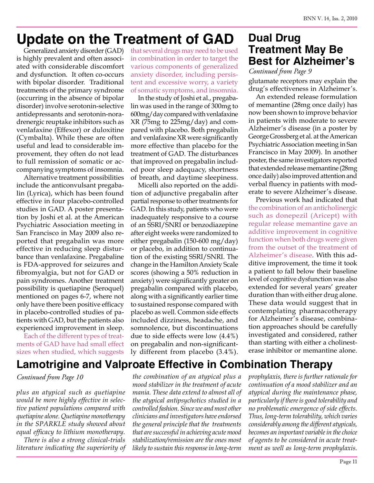# **Update on the Treatment of GAD**

is highly prevalent and often associated with considerable discomfort and dysfunction. It often co-occurs with bipolar disorder. Traditional treatments of the primary syndrome (occurring in the absence of bipolar disorder) involve serotonin-selective antidepressants and serotonin-noradrenergic reuptake inhibitors such as venlafaxine (Effexor) or duloxitine (Cymbalta). While these are often useful and lead to considerable improvement, they often do not lead to full remission of somatic or accompanying symptoms of insomnia.

Alternative treatment possibilities include the anticonvulsant pregabalin (Lyrica), which has been found effective in four placebo-controlled studies in GAD. A poster presentation by Joshi et al. at the American Psychiatric Association meeting in San Francisco in May 2009 also reported that pregabalin was more effective in reducing sleep disturbance than venlafaxine. Pregabaline is FDA-approved for seizures and fibromyalgia, but not for GAD or pain syndromes. Another treatment possibility is quetiapine (Seroquel) mentioned on pages 6-7, where not only have there been positive efficacy in placebo-controlled studies of patients with GAD, but the patients also experienced improvement in sleep.

Each of the different types of treatments of GAD have had small effect sizes when studied, which suggests

Generalized anxiety disorder (GAD) that several drugs may need to be used in combination in order to target the various components of generalized anxiety disorder, including persistent and excessive worry, a variety of somatic symptoms, and insomnia.

> In the study of Joshi et al., pregabalin was used in the range of 300mg to 600mg/day compared with venlafaxine XR (75mg to 225mg/day) and compared with placebo. Both pregabalin and venlafaxine XR were significantly more effective than placebo for the treatment of GAD. The disturbances that improved on pregabalin included poor sleep adequacy, shortness of breath, and daytime sleepiness.

> Micelli also reported on the addition of adjunctive pregabalin after partial response to other treatments for GAD. In this study, patients who were inadequately responsive to a course of an SSRI/SNRI or benzodiazepine after eight weeks were randomized to either pregabalin (150-600 mg/day) or placebo, in addition to continuation of the existing SSRI/SNRI. The change in the Hamilton Anxiety Scale scores (showing a 50% reduction in anxiety) were significantly greater on pregabalin compared with placebo, along with a significantly earlier time to sustained response compared with placebo as well. Common side effects included dizziness, headache, and somnolence, but discontinuations due to side effects were low (4.4%) on pregabalin and non-significantly different from placebo (3.4%).

# **Dual Drug Treatment May Be Best for Alzheimer's**

glutamate receptors may explain the drug's effectiveness in Alzheimer's. *Continued from Page 9*

An extended release formulation of memantine (28mg once daily) has now been shown to improve behavior in patients with moderate to severe Alzheimer's disease (in a poster by George Grossberg et al. at the American Psychiatric Association meeting in San Francisco in May 2009). In another poster, the same investigators reported that extended release memantine (28mg once daily) also improved attention and verbal fluency in patients with moderate to severe Alzheimer's disease.

Previous work had indicated that the combination of an anticholinergic such as donepezil (Aricept) with regular release memantine gave an additive improvement in cognitive function when both drugs were given from the outset of the treatment of Alzheimer's disease. With this additive improvement, the time it took a patient to fall below their baseline level of cognitive dysfunction was also extended for several years' greater duration than with either drug alone. These data would suggest that in contemplating pharmacotherapy for Alzheimer's disease, combination approaches should be carefully investigated and considered, rather than starting with either a cholinesterase inhibitor or memantine alone.

# **Lamotrigine and Valproate Effective in Combination Therapy**

#### *Continued from Page 10*

*plus an atypical such as quetiapine would be more highly effective in selective patient populations compared with quetiapine alone. Quetiapine monotherapy in the SPARKLE study showed about equal efficacy to lithium monotherapy.* 

*There is also a strong clinical-trials literature indicating the superiority of*  *the combination of an atypical plus a mood stabilizer in the treatment of acute mania. These data extend to almost all of the atypical antipsychotics studied in a controlled fashion. Since we and most other clinicians and investigators have endorsed the general principle that the treatments that are successful in achieving acute mood stabilization/remission are the ones most likely to sustain this response in long-term* 

*prophylaxis, there is further rationale for continuation of a mood stabilizer and an atypical during the maintenance phase, particularly if there is good tolerability and no problematic emergence of side effects. Thus, long-term tolerability, which varies considerably among the different atypicals, becomes an important variable in the choice of agents to be considered in acute treatment as well as long-term prophylaxis.*